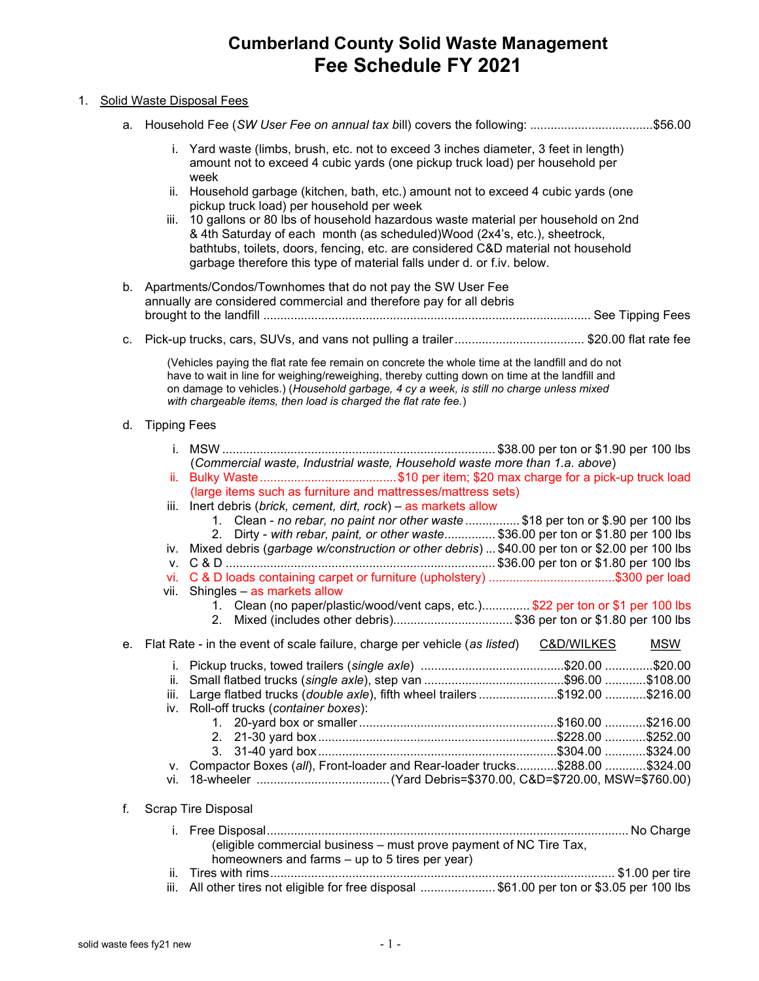## Cumberland County Solid Waste Management Fee Schedule FY 2021

## 1. Solid Waste Disposal Fees

a. Household Fee (SW User Fee on annual tax bill) covers the following: .................................... \$56.00

- i. Yard waste (limbs, brush, etc. not to exceed 3 inches diameter, 3 feet in length) amount not to exceed 4 cubic yards (one pickup truck load) per household per week
- ii. Household garbage (kitchen, bath, etc.) amount not to exceed 4 cubic yards (one pickup truck load) per household per week
- iii. 10 gallons or 80 lbs of household hazardous waste material per household on 2nd & 4th Saturday of each month (as scheduled)Wood (2x4's, etc.), sheetrock, bathtubs, toilets, doors, fencing, etc. are considered C&D material not household garbage therefore this type of material falls under d. or f.iv. below.
- b. Apartments/Condos/Townhomes that do not pay the SW User Fee annually are considered commercial and therefore pay for all debris brought to the landfill ................................................................................................ See Tipping Fees
- c. Pick-up trucks, cars, SUVs, and vans not pulling a trailer ...................................... \$20.00 flat rate fee

(Vehicles paying the flat rate fee remain on concrete the whole time at the landfill and do not have to wait in line for weighing/reweighing, thereby cutting down on time at the landfill and on damage to vehicles.) (Household garbage, 4 cy a week, is still no charge unless mixed with chargeable items, then load is charged the flat rate fee.)

## d. Tipping Fees

|    |      | (Commercial waste, Industrial waste, Household waste more than 1.a. above)                                           |            |  |
|----|------|----------------------------------------------------------------------------------------------------------------------|------------|--|
|    |      | (large items such as furniture and mattresses/mattress sets)                                                         |            |  |
|    | iii. | Inert debris (brick, cement, dirt, rock) - as markets allow                                                          |            |  |
|    |      | 1. Clean - no rebar, no paint nor other waste \$18 per ton or \$.90 per 100 lbs                                      |            |  |
|    |      | 2. Dirty - with rebar, paint, or other waste \$36.00 per ton or \$1.80 per 100 lbs                                   |            |  |
|    |      | iv. Mixed debris (garbage w/construction or other debris)  \$40.00 per ton or \$2.00 per 100 lbs                     |            |  |
|    |      |                                                                                                                      |            |  |
|    |      | vi. C & D loads containing carpet or furniture (upholstery) \$300 per load                                           |            |  |
|    |      | vii. Shingles - as markets allow                                                                                     |            |  |
|    |      | 1. Clean (no paper/plastic/wood/vent caps, etc.)\$22 per ton or \$1 per 100 lbs                                      |            |  |
|    |      | Mixed (includes other debris)\$36 per ton or \$1.80 per 100 lbs<br>2 <sub>1</sub>                                    |            |  |
| е. |      | Flat Rate - in the event of scale failure, charge per vehicle (as listed) C&D/WILKES                                 | <u>MSW</u> |  |
|    |      |                                                                                                                      |            |  |
|    |      |                                                                                                                      |            |  |
|    |      | iii. Large flatbed trucks (double axle), fifth wheel trailers \$192.00 \$216.00                                      |            |  |
|    |      | iv. Roll-off trucks (container boxes):                                                                               |            |  |
|    |      |                                                                                                                      |            |  |
|    |      |                                                                                                                      |            |  |
|    |      |                                                                                                                      |            |  |
|    |      | v. Compactor Boxes (all), Front-loader and Rear-loader trucks\$288.00 \$324.00                                       |            |  |
|    |      |                                                                                                                      |            |  |
|    |      | <b>Scrap Tire Disposal</b>                                                                                           |            |  |
|    |      |                                                                                                                      |            |  |
|    |      | (eligible commercial business - must prove payment of NC Tire Tax,<br>homeowners and farms - up to 5 tires per year) |            |  |
|    |      |                                                                                                                      |            |  |
|    |      |                                                                                                                      |            |  |